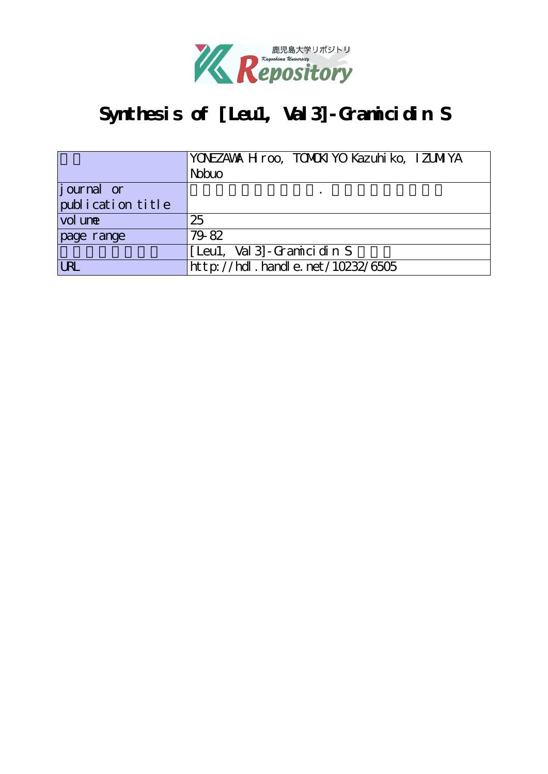

# **Synthesis of [Leu1, Val3]-Gramicidin S**

|                   | YONEZAWA H roo, TOMOKI YO Kazuhi ko, IZUMIYA |
|-------------------|----------------------------------------------|
|                   | <b>Nobuo</b>                                 |
| journal or        |                                              |
| publication title |                                              |
| vol une           | 25                                           |
| page range        | 79-82                                        |
|                   | [Leul, Val 3] - Gramici din S                |
| <b>URL</b>        | $http$ ://hdl. handle. net/10232/6505        |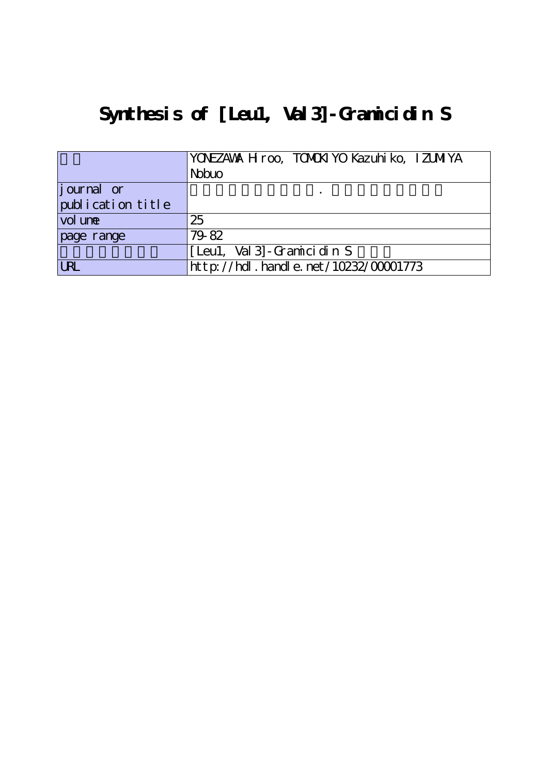# **Synthesis of [Leu1, Val3]-Gramicidin S**

|                    | YONEZAWA H roo, TOMOKI YO Kazuhi ko, IZUMIYA<br><b>N</b> buo |
|--------------------|--------------------------------------------------------------|
| <i>j</i> ournal or |                                                              |
| publication title  |                                                              |
| vol une            | 25                                                           |
| page range         | 79-82                                                        |
|                    | [Leu1, Val 3] - Gramici din S                                |
| <b>LRL</b>         | $http$ : //hdl. handle. net /10232/00001773                  |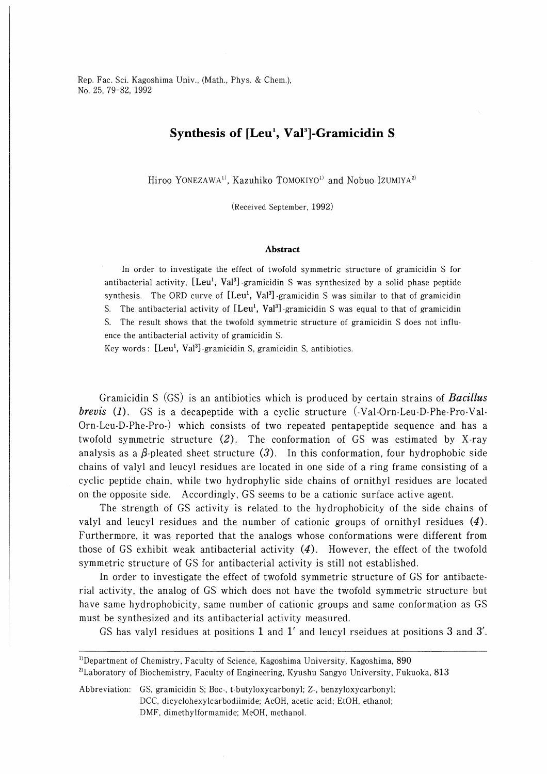Rep. Fac. Sci. Kagoshima Univ., (Math., Phys. & Chem.), No. 25, 79-82, 1992

## Synthesis of  $[Leu<sup>1</sup>, Val<sup>3</sup>]$ -Gramicidin S

Hiroo YONEZAWA<sup>1)</sup>, Kazuhiko TOMOKIYO<sup>1)</sup> and Nobuo IZUMIYA<sup>2)</sup>

(Received September, 1992)

#### Abstract

In order to investigate the effect of twofold symmetric structure of gramicidin S for antibacterial activity,  $[Leu^1, Val^3]$ -gramicidin S was synthesized by a solid phase peptide synthesis. The ORD curve of  $[Leu<sup>1</sup>, Val<sup>3</sup>]$ -gramicidin S was similar to that of gramicidin S. The antibacterial activity of  $[Leu<sup>1</sup>, Val<sup>3</sup>]$ -gramicidin S was equal to that of gramicidin S. The result shows that the twofold symmetric structure of gramicidin S does not influence the antibacterial activity of gramicidin S.

Key words:  $[Leu<sup>1</sup>, Val<sup>3</sup>]$ -gramicidin S, gramicidin S, antibiotics.

Gramicidin S (GS) is an antibiotics which is produced by certain strains of **Bacillus** *brevis* (1). GS is a decapeptide with a cyclic structure  $(\text{-Val-Orn-Leu-D-Pre-Val-})$ Orn-Leu-D-Phe-Pro-) which consists of two repeated pentapeptide sequence and has a twofold symmetric structure (2). The conformation of GS was estimated by X-ray analysis as a  $\beta$ -pleated sheet structure (3). In this conformation, four hydrophobic side chains of valyl and leucyl residues are located in one side of a ring frame consisting of a cyclic peptide chain, while two hydrophylic side chains of ornithyl residues are located on the opposite side. Accordingly, GS seems to be a cationic surface active agent.

The strength of GS activity is related to the hydrophobicity of the side chains of valyl and leucyl residues and the number of cationic groups of ornithyl residues (4). Furthermore, it was reported that the analogs whose conformations were different from those of GS exhibit weak antibacterial activity  $(4)$ . However, the effect of the twofold symmetric structure of GS for antibacterial activity is still not established.

In order to investigate the effect of twofold symmetric structure of GS for antibacterial activity, the analog of GS which does not have the twofold symmetric structure but have same hydrophobicity, same number of cationic groups and same conformation as GS must be synthesized and its antibacterial activity measured.

GS has valyl residues at positions 1 and 1' and leucyl rseidues at positions 3 and 3'.

<sup>&</sup>lt;sup>1)</sup>Department of Chemistry, Faculty of Science, Kagoshima University, Kagoshima, 890 <sup>2)</sup>Laboratory of Biochemistry, Faculty of Engineering, Kyushu Sangyo University, Fukuoka, 813

Abbreviation: GS, gramicidin S; Boo, t-butyloxycarbonyl; Z-, benzyloxycarbonyl; DCC, dicyclohexylcarbodiimide; AcOH, acetic acid; EtOH, ethanol; DMF, dimethylformamide; MeOH, methanol.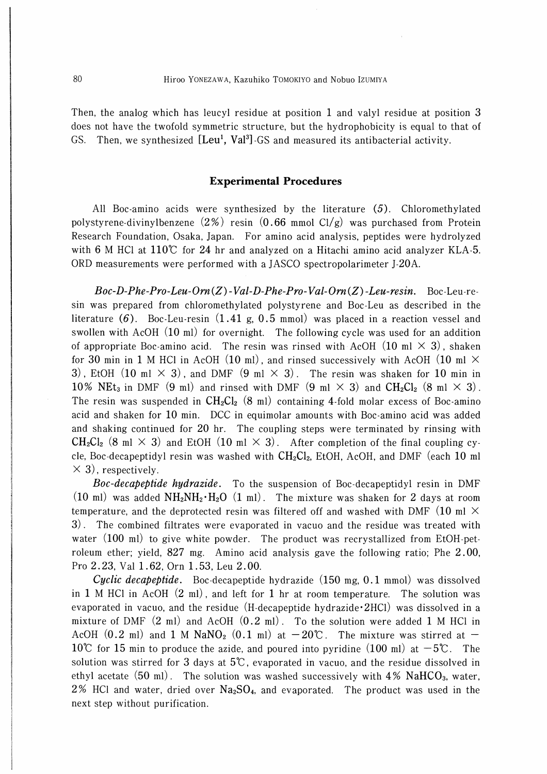Then, the analog which has leucyl residue at position 1 and valyl residue at position 3 does not have the twofold symmetric structure, but the hydrophobicity is equal to that of GS. Then, we synthesized [Leu<sup>1</sup>, Val<sup>3</sup>] GS and measured its antibacterial activity.

### Experimental Procedures

All Boc-amino acids were synthesized by the literature (5). Chloromethylated polystyrene-divinylbenzene  $(2%)$  resin  $(0.66$  mmol Cl/g) was purchased from Protein Research Foundation, Osaka, Japan. For amino acid analysis, peptides were hydrolyzed with 6 M HCl at 110℃ for 24 hr and analyzed on a Hitachi amino acid analyzer KLA-5. 0RD measurements were performed with a JASCO spectropolarimeter J-20A.

 $Boc-D-Phe-Pro-Leu-Orn(Z)$  -Val-D-Phe-Pro-Val-Orn(Z)-Leu-resin. Boc-Leu-resin was prepared from chloromethylated polystyrene and Boc-Leu as described in the literature  $(6)$ . Boc-Leu-resin  $(1.41 \text{ g}, 0.5 \text{ mmol})$  was placed in a reaction vessel and swollen with AcOH (10 ml) for overnight. The following cycle was used for an addition of appropriate Boc-amino acid. The resin was rinsed with AcOH  $(10 \text{ ml} \times 3)$ , shaken for 30 min in 1 M HCl in AcOH (10 ml), and rinsed successively with AcOH (10 ml  $\times$ 3), EtOH (10 ml  $\times$  3), and DMF (9 ml  $\times$  3). The resin was shaken for 10 min in 10% NEt<sub>3</sub> in DMF (9 ml) and rinsed with DMF (9 ml  $\times$  3) and CH<sub>2</sub>Cl<sub>2</sub> (8 ml  $\times$  3). The resin was suspended in  $CH_2Cl_2$  (8 ml) containing 4-fold molar excess of Boc-amino acid and shaken for 10 min. DCC in equimolar amounts with Boc-amino acid was added and shaking continued for 20 hr. The coupling steps were terminated by rinsing with  $CH_2Cl_2$  (8 ml  $\times$  3) and EtOH (10 ml  $\times$  3). After completion of the final coupling cycle, Boc-decapeptidyl resin was washed with  $CH_2Cl_2$ , EtOH, AcOH, and DMF (each 10 ml  $\times$  3), respectively.

Boc-decapeptide hydrazide. To the suspension of Boc-decapeptidyl resin in DMF (10 ml) was added  $NH_2NH_2\cdot H_2O$  (1 ml). The mixture was shaken for 2 days at room temperature, and the deprotected resin was filtered off and washed with DMF (10 ml  $\times$ 3). The combined filtrates were evaporated in vacuo and the residue was treated with water (100 ml) to give white powder. The product was recrystallized from EtOH-petroleum ether; yield, 827 mg. Amino acid analysis gave the following ratio; Phe 2.00, Pro 2.23, Val 1.62, Orn 1.53, Leu 2.00.

*Cyclic decapeptide.* Boc-decapeptide hydrazide  $(150 \text{ mg}, 0.1 \text{ mmol})$  was dissolved in 1 M HCl in AcOH (2 ml), and left for 1 hr at room temperature. The solution was evaporated in vacuo, and the residue  $(H-decapeptide hydrazide·2HCl)$  was dissolved in a mixture of DMF  $(2 \text{ ml})$  and AcOH  $(0.2 \text{ ml})$ . To the solution were added 1 M HCl in AcOH (0.2 ml) and 1 M NaNO<sub>2</sub> (0.1 ml) at  $-20^{\circ}$ . The mixture was stirred at  $-$ 10℃ for 15 min to produce the azide, and poured into pyridine  $(100 \text{ ml})$  at  $-5$ ℃. The solution was stirred for 3 days at  $5^{\circ}$ , evaporated in vacuo, and the residue dissolved in ethyl acetate  $(50 \text{ ml})$ . The solution was washed successively with  $4\%$  NaHCO<sub>3</sub>, water, 2% HCl and water, dried over  $Na<sub>2</sub>SO<sub>4</sub>$ , and evaporated. The product was used in the next step without purification.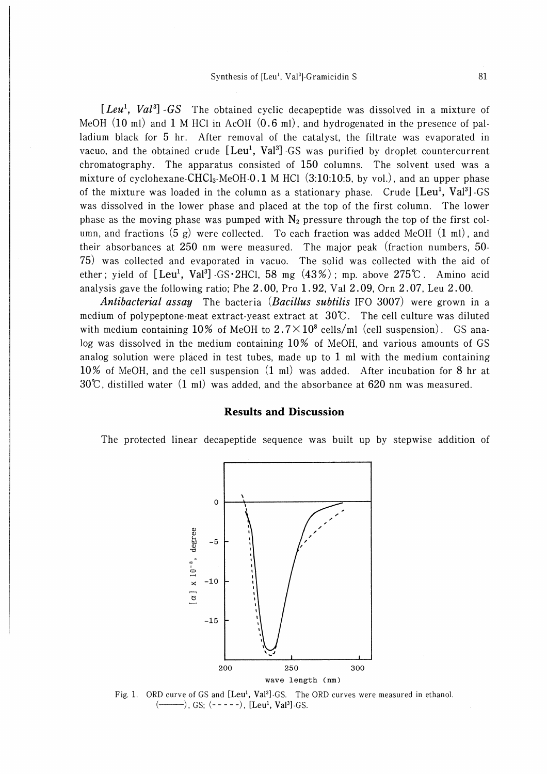[ $Leu<sup>1</sup>$ ,  $Val<sup>3</sup>$ ] -GS The obtained cyclic decapeptide was dissolved in a mixture of MeOH (10 ml) and 1 M HCl in AcOH (0.6 ml), and hydrogenated in the presence of palladium black for 5 hr. After removal of the catalyst, the filtrate was evaporated in vacuo, and the obtained crude  $[Leu^1, Val^3]$  GS was purified by droplet countercurrent chromatography. The apparatus consisted of 150 columns. The solvent used was a mixture of cyclohexane-CHCl<sub>3</sub>-MeOH-0.1 M HCl  $(3:10:10:5, \text{ by vol.})$ , and an upper phase of the mixture was loaded in the column as a stationary phase. Crude  $[Leu<sup>1</sup>, Va<sup>3</sup>]$ -GS was dissolved in the lower phase and placed at the top of the first column. The lower phase as the moving phase was pumped with  $N_2$  pressure through the top of the first column, and fractions  $(5 g)$  were collected. To each fraction was added MeOH  $(1 ml)$ , and their absorbances at 250 nm were measured. The major peak (fraction numbers, 50- 75) was collected and evaporated in vacuo. The solid was collected with the aid of ether; yield of  $[Leu^1, Val^3]$  GS·2HCl, 58 mg  $(43%)$ ; mp. above 275℃. Amino acid analysis gave the following ratio; Phe 2.00, Pro 1.92, Val 2.09, Orn 2.07, Leu 2.00.

Antibacterial assay The bacteria (Bacillus subtilis IFO 3007) were grown in a medium of polypeptone-meat extract-yeast extract at 30℃. The cell culture was diluted with medium containing 10% of MeOH to  $2.7 \times 10^8$  cells/ml (cell suspension). GS analog was dissolved in the medium containing 10% of MeOH, and various amounts of GS analog solution were placed in test tubes, made up to 1 ml with the medium containing 10% of MeOH, and the cell suspension (1 ml) was added. After incubation for 8 hr at  $30\degree$ , distilled water (1 ml) was added, and the absorbance at 620 nm was measured.

### Results and Discussion

The protected linear decapeptide sequence was built up by stepwise addition of



Fig. 1. ORD curve of GS and  $[Leu<sup>1</sup>, Val<sup>3</sup>]$  GS. The ORD curves were measured in ethanol.  $(\_\_\_\_)$ , GS;  $(\_\_\_\_$ ,  $[\_\_\_$  [Leu<sup>1</sup>, Val<sup>3</sup>]. GS.